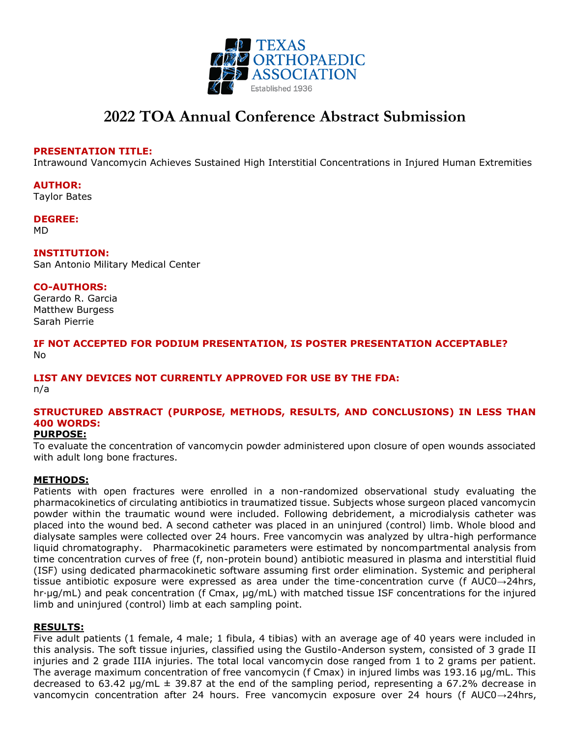

# **2022 TOA Annual Conference Abstract Submission**

### **PRESENTATION TITLE:**

Intrawound Vancomycin Achieves Sustained High Interstitial Concentrations in Injured Human Extremities

#### **AUTHOR:**

Taylor Bates

# **DEGREE:**

MD

#### **INSTITUTION:**

San Antonio Military Medical Center

#### **CO-AUTHORS:**

Gerardo R. Garcia Matthew Burgess Sarah Pierrie

### **IF NOT ACCEPTED FOR PODIUM PRESENTATION, IS POSTER PRESENTATION ACCEPTABLE?** No

# **LIST ANY DEVICES NOT CURRENTLY APPROVED FOR USE BY THE FDA:**

n/a

## **STRUCTURED ABSTRACT (PURPOSE, METHODS, RESULTS, AND CONCLUSIONS) IN LESS THAN 400 WORDS:**

### **PURPOSE:**

To evaluate the concentration of vancomycin powder administered upon closure of open wounds associated with adult long bone fractures.

### **METHODS:**

Patients with open fractures were enrolled in a non-randomized observational study evaluating the pharmacokinetics of circulating antibiotics in traumatized tissue. Subjects whose surgeon placed vancomycin powder within the traumatic wound were included. Following debridement, a microdialysis catheter was placed into the wound bed. A second catheter was placed in an uninjured (control) limb. Whole blood and dialysate samples were collected over 24 hours. Free vancomycin was analyzed by ultra-high performance liquid chromatography. Pharmacokinetic parameters were estimated by noncompartmental analysis from time concentration curves of free (f, non-protein bound) antibiotic measured in plasma and interstitial fluid (ISF) using dedicated pharmacokinetic software assuming first order elimination. Systemic and peripheral tissue antibiotic exposure were expressed as area under the time-concentration curve (f AUC0→24hrs, hr∙μg/mL) and peak concentration (f Cmax, μg/mL) with matched tissue ISF concentrations for the injured limb and uninjured (control) limb at each sampling point.

### **RESULTS:**

Five adult patients (1 female, 4 male; 1 fibula, 4 tibias) with an average age of 40 years were included in this analysis. The soft tissue injuries, classified using the Gustilo-Anderson system, consisted of 3 grade II injuries and 2 grade IIIA injuries. The total local vancomycin dose ranged from 1 to 2 grams per patient. The average maximum concentration of free vancomycin (f Cmax) in injured limbs was 193.16 µg/mL. This decreased to 63.42  $\mu$ g/mL  $\pm$  39.87 at the end of the sampling period, representing a 67.2% decrease in vancomycin concentration after 24 hours. Free vancomycin exposure over 24 hours (f AUC0→24hrs,